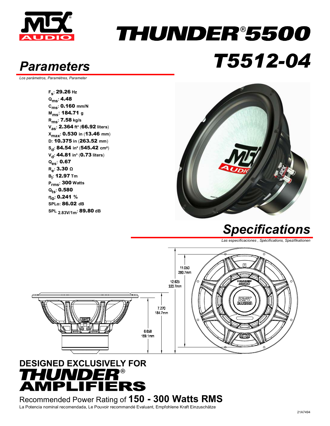

## THUNDER®5500 *Parameters T5512-04*

*Los parámetros, Paramètres, Parameter* 

**Fs:** 29.26 **Hz Qms:** 4.48 **Cms:** 0.160 **mm/N Mms:** 184.71 **<sup>g</sup> Rms:** 7.58 **kg/s Vas:** 2.364 **ft³** (66.92 **liters**) **Xmax:** 0.530 **in** (13.46 **mm**) **D:** 10.375 **in** (263.52 **mm**) **Sd:** 84.54 **in²** (545.42 **cm**²) **V<sub>d</sub>: 44.81 in<sup>3</sup> (0.73 liters) Qes:** 0.67 **Re:** 3.30 **<sup>Ω</sup> Bl :** 12.97 **Tm Prms:** 300 **Watts Qts:** 0.580 **ηο:** 0.241 **% SPLo:** 86.02 **dB SPL 2.83V/1m:** 89.80 **dB**



#### *Specifications*

*Las especificaciones , Spécifications, Spezifikationen* 



#### **DESIGNED EXCLUSIVELY FOR**  HUNDER®<br>MPLIFIERS

Recommended Power Rating of **150 - 300 Watts RMS** La Potencia nominal recomendada, Le Pouvoir recommandé Evaluant, Empfohlene Kraft Einzuschätze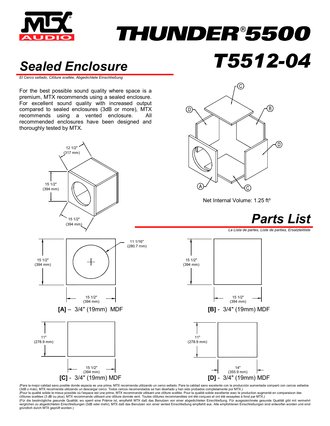

# *THUNDER®5500*

### *Sealed Enclosure T5512-04*

*El Cerco sellado, Clôture scellée, Abgedichtete Einschließung* 

For the best possible sound quality where space is a premium, MTX recommends using a sealed enclosure. For excellent sound quality with increased output compared to sealed enclosures (3dB or more), MTX recommends using a vented enclosure. All recommended enclosures have been designed and thoroughly tested by MTX.





Net Internal Volume: 1.25 ft<sup>3</sup>



*La Lista de partes, Liste de parties, Ersatzteilliste* 



(Para la mejor calidad sano posible donde espacia es una prima, MTX recomienda utilizando un cerco sellado. Para la calidad sano excelente con la producción aumentada comparó con cercos sellados (3dB o más), MTX recomienda utilizando un descargar cerco. Todos cercos recomendados se han diseñado y han sido probados completamente por MTX.*)*  (Pour la qualité solide le mieux possible où l'espace est une prime, MTX recommande utilisant une dôture scellée. Pour la qualité solide excellente avec le production augmenté en comparaison des<br>clôtures scellées (3 dB ou verglichen zu abgedichteten Einschließungen (3dB oder mehr), MTX daß das Benutzen von einer vented Einschließung empfiehlt aus. Alle empfohlenen Einschließungen sind entworfen worden und sind<br>gründlich durch MTX geprüft wo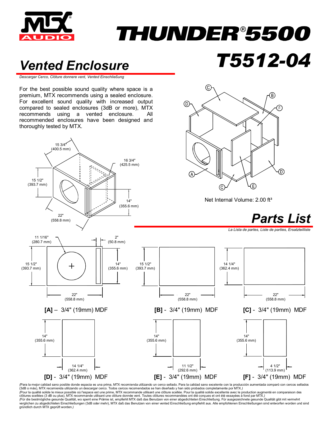

## THUNDER®5500

(C

⊚

### *Vented Enclosure T5512-04*

*Descargar Cerco, Clôture donnere vent, Vented Einschließung*

For the best possible sound quality where space is a premium, MTX recommends using a sealed enclosure. For excellent sound quality with increased output compared to sealed enclosures (3dB or more), MTX recommends using a vented enclosure. All recommended enclosures have been designed and thoroughly tested by MTX.



*(*Para la mejor calidad sano posible donde espacia es una prima, MTX recomienda utilizando un cerco sellado. Para la calidad sano excelente con la producción aumentada comparó con cercos sellados (3dB o más), MTX recomienda utilizando un descargar cerco. Todos cercos recomendados se han diseñado y han sido probados completamente por MTX.*)*<br>(Pour la qualité solide le mieux possible où l'espace est une prime, MTX re clôtures scellées (3 dB ou plus), MTX recommande utilisant une clôture donnée vent. Toutes clôtures recommandées ont été conçues et ont été essayées à fond par MTX.)<br>(Für die bestmögliche gesunde Qualität, wo sperrt eine P verglichen zu abgedichteten Einschließungen (3dB oder mehr), MTX daß das Benutzen von einer vented Einschließung empfiehlt aus. Alle empfohlenen Einschließungen sind entworfen worden und sind gründlich durch MTX geprüft worden.*)*